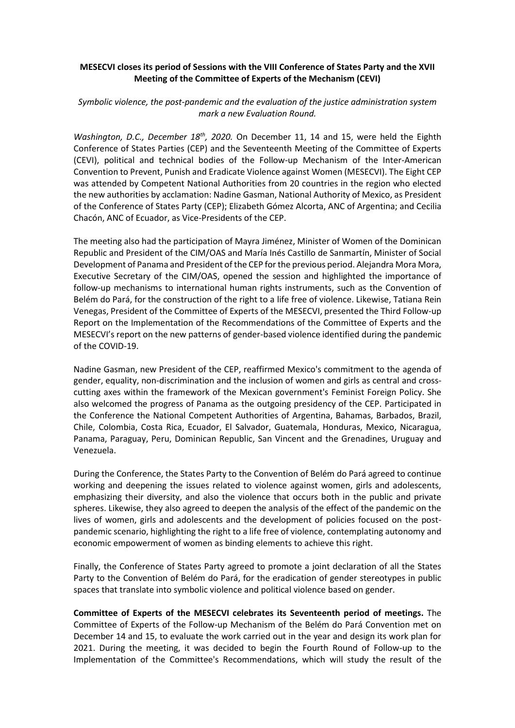## **MESECVI closes its period of Sessions with the VIII Conference of States Party and the XVII Meeting of the Committee of Experts of the Mechanism (CEVI)**

## *Symbolic violence, the post-pandemic and the evaluation of the justice administration system mark a new Evaluation Round.*

*Washington, D.C., December 18th, 2020.* On December 11, 14 and 15, were held the Eighth Conference of States Parties (CEP) and the Seventeenth Meeting of the Committee of Experts (CEVI), political and technical bodies of the Follow-up Mechanism of the Inter-American Convention to Prevent, Punish and Eradicate Violence against Women (MESECVI). The Eight CEP was attended by Competent National Authorities from 20 countries in the region who elected the new authorities by acclamation: Nadine Gasman, National Authority of Mexico, as President of the Conference of States Party (CEP); Elizabeth Gómez Alcorta, ANC of Argentina; and Cecilia Chacón, ANC of Ecuador, as Vice-Presidents of the CEP.

The meeting also had the participation of Mayra Jiménez, Minister of Women of the Dominican Republic and President of the CIM/OAS and María Inés Castillo de Sanmartín, Minister of Social Development of Panama and President of the CEP for the previous period. Alejandra Mora Mora, Executive Secretary of the CIM/OAS, opened the session and highlighted the importance of follow-up mechanisms to international human rights instruments, such as the Convention of Belém do Pará, for the construction of the right to a life free of violence. Likewise, Tatiana Rein Venegas, President of the Committee of Experts of the MESECVI, presented the Third Follow-up Report on the Implementation of the Recommendations of the Committee of Experts and the MESECVI's report on the new patterns of gender-based violence identified during the pandemic of the COVID-19.

Nadine Gasman, new President of the CEP, reaffirmed Mexico's commitment to the agenda of gender, equality, non-discrimination and the inclusion of women and girls as central and crosscutting axes within the framework of the Mexican government's Feminist Foreign Policy. She also welcomed the progress of Panama as the outgoing presidency of the CEP. Participated in the Conference the National Competent Authorities of Argentina, Bahamas, Barbados, Brazil, Chile, Colombia, Costa Rica, Ecuador, El Salvador, Guatemala, Honduras, Mexico, Nicaragua, Panama, Paraguay, Peru, Dominican Republic, San Vincent and the Grenadines, Uruguay and Venezuela.

During the Conference, the States Party to the Convention of Belém do Pará agreed to continue working and deepening the issues related to violence against women, girls and adolescents, emphasizing their diversity, and also the violence that occurs both in the public and private spheres. Likewise, they also agreed to deepen the analysis of the effect of the pandemic on the lives of women, girls and adolescents and the development of policies focused on the postpandemic scenario, highlighting the right to a life free of violence, contemplating autonomy and economic empowerment of women as binding elements to achieve this right.

Finally, the Conference of States Party agreed to promote a joint declaration of all the States Party to the Convention of Belém do Pará, for the eradication of gender stereotypes in public spaces that translate into symbolic violence and political violence based on gender.

**Committee of Experts of the MESECVI celebrates its Seventeenth period of meetings.** The Committee of Experts of the Follow-up Mechanism of the Belém do Pará Convention met on December 14 and 15, to evaluate the work carried out in the year and design its work plan for 2021. During the meeting, it was decided to begin the Fourth Round of Follow-up to the Implementation of the Committee's Recommendations, which will study the result of the